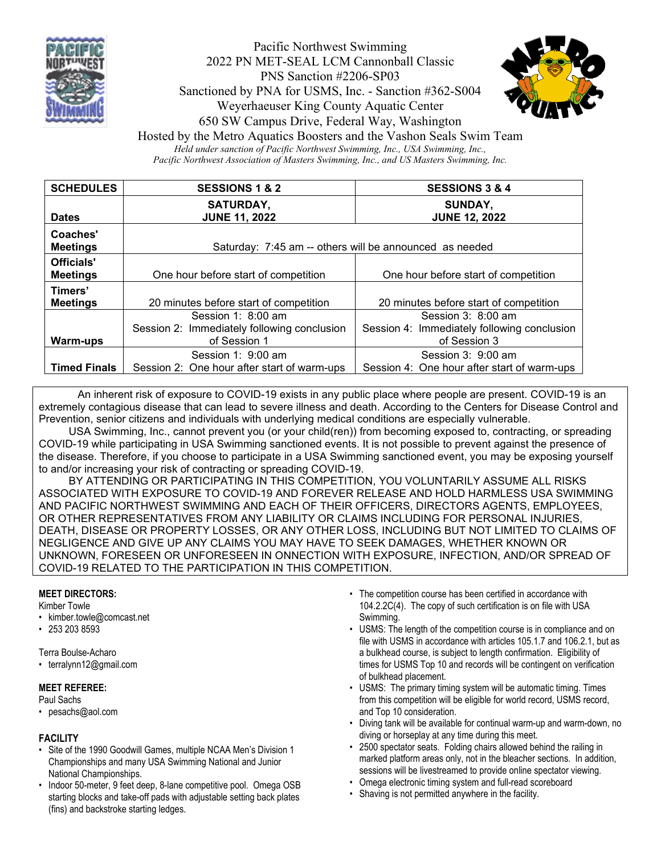

# Pacific Northwest Swimming 2022 PN MET-SEAL LCM Cannonball Classic PNS Sanction #2206-SP03 Sanctioned by PNA for USMS, Inc. - Sanction #362-S004 Weyerhaeuser King County Aquatic Center 650 SW Campus Drive, Federal Way, Washington



Hosted by the Metro Aquatics Boosters and the Vashon Seals Swim Team *Held under sanction of Pacific Northwest Swimming, Inc., USA Swimming, Inc., Pacific Northwest Association of Masters Swimming, Inc., and US Masters Swimming, Inc.*

**SCHEDULES SESSIONS 1 & 2 SESSIONS 3 & 4 Dates SATURDAY, JUNE 11, 2022 SUNDAY, JUNE 12, 2022 Coaches' Meetings** Times Saturday: 7:45 am -- others will be announced as needed **Officials' Meetings** One hour before start of competition **One hour before start of competition Timers'**  20 minutes before start of competition 20 minutes before start of competition **Warm-ups** Session 1: 8:00 am Session 2: Immediately following conclusion of Session 1 Session 3: 8:00 am Session 4: Immediately following conclusion of Session 3 **Timed Finals** Session 1: 9:00 am Session 2: One hour after start of warm-ups Session 3: 9:00 am Session 4: One hour after start of warm-ups

An inherent risk of exposure to COVID-19 exists in any public place where people are present. COVID-19 is an extremely contagious disease that can lead to severe illness and death. According to the Centers for Disease Control and Prevention, senior citizens and individuals with underlying medical conditions are especially vulnerable.

 USA Swimming, Inc., cannot prevent you (or your child(ren)) from becoming exposed to, contracting, or spreading COVID-19 while participating in USA Swimming sanctioned events. It is not possible to prevent against the presence of the disease. Therefore, if you choose to participate in a USA Swimming sanctioned event, you may be exposing yourself to and/or increasing your risk of contracting or spreading COVID-19.

 BY ATTENDING OR PARTICIPATING IN THIS COMPETITION, YOU VOLUNTARILY ASSUME ALL RISKS ASSOCIATED WITH EXPOSURE TO COVID-19 AND FOREVER RELEASE AND HOLD HARMLESS USA SWIMMING AND PACIFIC NORTHWEST SWIMMING AND EACH OF THEIR OFFICERS, DIRECTORS AGENTS, EMPLOYEES, OR OTHER REPRESENTATIVES FROM ANY LIABILITY OR CLAIMS INCLUDING FOR PERSONAL INJURIES, DEATH, DISEASE OR PROPERTY LOSSES, OR ANY OTHER LOSS, INCLUDING BUT NOT LIMITED TO CLAIMS OF NEGLIGENCE AND GIVE UP ANY CLAIMS YOU MAY HAVE TO SEEK DAMAGES, WHETHER KNOWN OR UNKNOWN, FORESEEN OR UNFORESEEN IN ONNECTION WITH EXPOSURE, INFECTION, AND/OR SPREAD OF COVID-19 RELATED TO THE PARTICIPATION IN THIS COMPETITION.

## **MEET DIRECTORS:**

Kimber Towle

- kimber.towle@comcast.net
- 253 203 8593

Terra Boulse-Acharo

• terralynn12@gmail.com

#### **MEET REFEREE:**

Paul Sachs

• pesachs@aol.com

## **FACILITY**

- Site of the 1990 Goodwill Games, multiple NCAA Men's Division 1 Championships and many USA Swimming National and Junior National Championships.
- Indoor 50-meter, 9 feet deep, 8-lane competitive pool. Omega OSB starting blocks and take-off pads with adjustable setting back plates (fins) and backstroke starting ledges.
- The competition course has been certified in accordance with 104.2.2C(4). The copy of such certification is on file with USA Swimming.
- USMS: The length of the competition course is in compliance and on file with USMS in accordance with articles 105.1.7 and 106.2.1, but as a bulkhead course, is subject to length confirmation. Eligibility of times for USMS Top 10 and records will be contingent on verification of bulkhead placement.
- USMS: The primary timing system will be automatic timing. Times from this competition will be eligible for world record, USMS record, and Top 10 consideration.
- Diving tank will be available for continual warm-up and warm-down, no diving or horseplay at any time during this meet.
- 2500 spectator seats. Folding chairs allowed behind the railing in marked platform areas only, not in the bleacher sections. In addition, sessions will be livestreamed to provide online spectator viewing.
- Omega electronic timing system and full-read scoreboard
- Shaving is not permitted anywhere in the facility.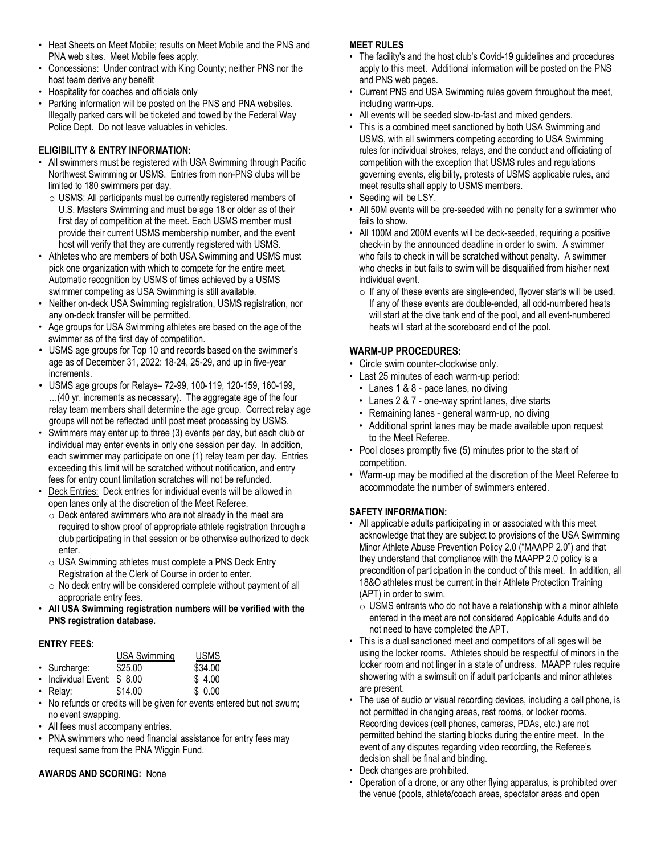- Heat Sheets on Meet Mobile; results on Meet Mobile and the PNS and PNA web sites. Meet Mobile fees apply.
- Concessions: Under contract with King County; neither PNS nor the host team derive any benefit
- Hospitality for coaches and officials only
- Parking information will be posted on the PNS and PNA websites. Illegally parked cars will be ticketed and towed by the Federal Way Police Dept. Do not leave valuables in vehicles.

### **ELIGIBILITY & ENTRY INFORMATION:**

- All swimmers must be registered with USA Swimming through Pacific Northwest Swimming or USMS. Entries from non-PNS clubs will be limited to 180 swimmers per day.
	- o USMS: All participants must be currently registered members of U.S. Masters Swimming and must be age 18 or older as of their first day of competition at the meet. Each USMS member must provide their current USMS membership number, and the event host will verify that they are currently registered with USMS.
- Athletes who are members of both USA Swimming and USMS must pick one organization with which to compete for the entire meet. Automatic recognition by USMS of times achieved by a USMS swimmer competing as USA Swimming is still available.
- Neither on-deck USA Swimming registration, USMS registration, nor any on-deck transfer will be permitted.
- Age groups for USA Swimming athletes are based on the age of the swimmer as of the first day of competition.
- USMS age groups for Top 10 and records based on the swimmer's age as of December 31, 2022: 18-24, 25-29, and up in five-year increments.
- USMS age groups for Relays– 72-99, 100-119, 120-159, 160-199, …(40 yr. increments as necessary). The aggregate age of the four relay team members shall determine the age group. Correct relay age groups will not be reflected until post meet processing by USMS.
- Swimmers may enter up to three (3) events per day, but each club or individual may enter events in only one session per day. In addition, each swimmer may participate on one (1) relay team per day. Entries exceeding this limit will be scratched without notification, and entry fees for entry count limitation scratches will not be refunded.
- Deck Entries: Deck entries for individual events will be allowed in open lanes only at the discretion of the Meet Referee.
	- $\circ$  Deck entered swimmers who are not already in the meet are required to show proof of appropriate athlete registration through a club participating in that session or be otherwise authorized to deck enter.
	- o USA Swimming athletes must complete a PNS Deck Entry Registration at the Clerk of Course in order to enter.
	- $\circ$  No deck entry will be considered complete without payment of all appropriate entry fees.
- **All USA Swimming registration numbers will be verified with the PNS registration database.**

# **ENTRY FEES:**

|                             | USA Swimming | <b>USMS</b> |
|-----------------------------|--------------|-------------|
| • Surcharge:                | \$25.00      | \$34.00     |
| • Individual Event: \$ 8.00 |              | \$4.00      |
| $\cdot$ Relay:              | \$14.00      | \$0.00      |

- No refunds or credits will be given for events entered but not swum; no event swapping.
- All fees must accompany entries.
- PNA swimmers who need financial assistance for entry fees may request same from the [PNA Wiggin Fund.](https://www.clubassistant.com/c/D63FBF8/file/Miscellany/RequestMeetEntryAssistanceWigginFundDec2018.pdf)

# **AWARDS AND SCORING:** None

#### **MEET RULES**

- The facility's and the host club's Covid-19 guidelines and procedures apply to this meet. Additional information will be posted on the PNS and PNS web pages.
- Current PNS and USA Swimming rules govern throughout the meet, including warm-ups.
- All events will be seeded slow-to-fast and mixed genders.
- This is a combined meet sanctioned by both USA Swimming and USMS, with all swimmers competing according to USA Swimming rules for individual strokes, relays, and the conduct and officiating of competition with the exception that USMS rules and regulations governing events, eligibility, protests of USMS applicable rules, and meet results shall apply to USMS members.
- Seeding will be LSY.
- All 50M events will be pre-seeded with no penalty for a swimmer who fails to show.
- All 100M and 200M events will be deck-seeded, requiring a positive check-in by the announced deadline in order to swim. A swimmer who fails to check in will be scratched without penalty. A swimmer who checks in but fails to swim will be disqualified from his/her next individual event.
	- o **I**f any of these events are single-ended, flyover starts will be used. If any of these events are double-ended, all odd-numbered heats will start at the dive tank end of the pool, and all event-numbered heats will start at the scoreboard end of the pool.

## **WARM-UP PROCEDURES:**

- Circle swim counter-clockwise only.
- Last 25 minutes of each warm-up period:
	- Lanes 1 & 8 pace lanes, no diving
	- Lanes 2 & 7 one-way sprint lanes, dive starts
	- Remaining lanes general warm-up, no diving
	- Additional sprint lanes may be made available upon request to the Meet Referee.
- Pool closes promptly five (5) minutes prior to the start of competition.
- Warm-up may be modified at the discretion of the Meet Referee to accommodate the number of swimmers entered.

## **SAFETY INFORMATION:**

- All applicable adults participating in or associated with this meet acknowledge that they are subject to provisions of the USA Swimming Minor Athlete Abuse Prevention Policy 2.0 ("MAAPP 2.0") and that they understand that compliance with the MAAPP 2.0 policy is a precondition of participation in the conduct of this meet. In addition, all 18&O athletes must be current in their Athlete Protection Training (APT) in order to swim.
	- $\circ$  USMS entrants who do not have a relationship with a minor athlete entered in the meet are not considered Applicable Adults and do not need to have completed the APT.
- This is a dual sanctioned meet and competitors of all ages will be using the locker rooms. Athletes should be respectful of minors in the locker room and not linger in a state of undress. MAAPP rules require showering with a swimsuit on if adult participants and minor athletes are present.
- The use of audio or visual recording devices, including a cell phone, is not permitted in changing areas, rest rooms, or locker rooms. Recording devices (cell phones, cameras, PDAs, etc.) are not permitted behind the starting blocks during the entire meet. In the event of any disputes regarding video recording, the Referee's decision shall be final and binding.
- Deck changes are prohibited.
- Operation of a drone, or any other flying apparatus, is prohibited over the venue (pools, athlete/coach areas, spectator areas and open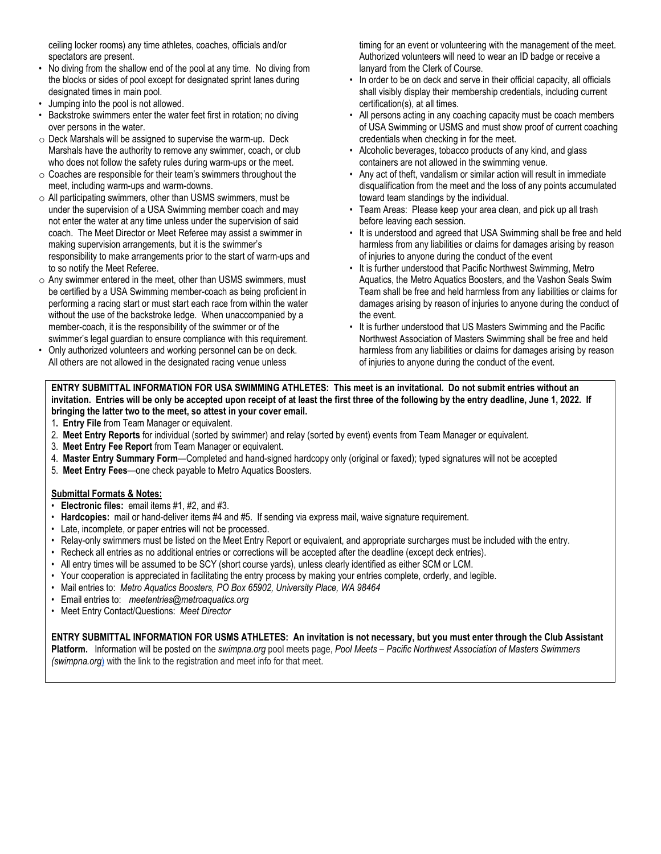ceiling locker rooms) any time athletes, coaches, officials and/or spectators are present.

- No diving from the shallow end of the pool at any time. No diving from the blocks or sides of pool except for designated sprint lanes during designated times in main pool.
- Jumping into the pool is not allowed.
- Backstroke swimmers enter the water feet first in rotation; no diving over persons in the water.
- o Deck Marshals will be assigned to supervise the warm-up. Deck Marshals have the authority to remove any swimmer, coach, or club who does not follow the safety rules during warm-ups or the meet.
- $\circ$  Coaches are responsible for their team's swimmers throughout the meet, including warm-ups and warm-downs.
- o All participating swimmers, other than USMS swimmers, must be under the supervision of a USA Swimming member coach and may not enter the water at any time unless under the supervision of said coach. The Meet Director or Meet Referee may assist a swimmer in making supervision arrangements, but it is the swimmer's responsibility to make arrangements prior to the start of warm-ups and to so notify the Meet Referee.
- $\circ$  Any swimmer entered in the meet, other than USMS swimmers, must be certified by a USA Swimming member-coach as being proficient in performing a racing start or must start each race from within the water without the use of the backstroke ledge. When unaccompanied by a member-coach, it is the responsibility of the swimmer or of the swimmer's legal guardian to ensure compliance with this requirement.
- Only authorized volunteers and working personnel can be on deck. All others are not allowed in the designated racing venue unless

timing for an event or volunteering with the management of the meet. Authorized volunteers will need to wear an ID badge or receive a lanyard from the Clerk of Course.

- In order to be on deck and serve in their official capacity, all officials shall visibly display their membership credentials, including current certification(s), at all times.
- All persons acting in any coaching capacity must be coach members of USA Swimming or USMS and must show proof of current coaching credentials when checking in for the meet.
- Alcoholic beverages, tobacco products of any kind, and glass containers are not allowed in the swimming venue.
- Any act of theft, vandalism or similar action will result in immediate disqualification from the meet and the loss of any points accumulated toward team standings by the individual.
- Team Areas: Please keep your area clean, and pick up all trash before leaving each session.
- It is understood and agreed that USA Swimming shall be free and held harmless from any liabilities or claims for damages arising by reason of injuries to anyone during the conduct of the event
- It is further understood that Pacific Northwest Swimming, Metro Aquatics, the Metro Aquatics Boosters, and the Vashon Seals Swim Team shall be free and held harmless from any liabilities or claims for damages arising by reason of injuries to anyone during the conduct of the event.
- It is further understood that US Masters Swimming and the Pacific Northwest Association of Masters Swimming shall be free and held harmless from any liabilities or claims for damages arising by reason of injuries to anyone during the conduct of the event.

**ENTRY SUBMITTAL INFORMATION FOR USA SWIMMING ATHLETES: This meet is an invitational. Do not submit entries without an invitation. Entries will be only be accepted upon receipt of at least the first three of the following by the entry deadline, June 1, 2022. If bringing the latter two to the meet, so attest in your cover email.** 

- 1**. Entry File** from Team Manager or equivalent.
- 2. **Meet Entry Reports** for individual (sorted by swimmer) and relay (sorted by event) events from Team Manager or equivalent.
- 3. **Meet Entry Fee Report** from Team Manager or equivalent.
- 4. **Master Entry Summary Form**—Completed and hand-signed hardcopy only (original or faxed); typed signatures will not be accepted
- 5. **Meet Entry Fees**—one check payable to Metro Aquatics Boosters.

#### **Submittal Formats & Notes:**

- **Electronic files:** email items #1, #2, and #3.
- **Hardcopies:** mail or hand-deliver items #4 and #5. If sending via express mail, waive signature requirement.
- Late, incomplete, or paper entries will not be processed.
- Relay-only swimmers must be listed on the Meet Entry Report or equivalent, and appropriate surcharges must be included with the entry.
- Recheck all entries as no additional entries or corrections will be accepted after the deadline (except deck entries).
- All entry times will be assumed to be SCY (short course yards), unless clearly identified as either SCM or LCM.
- Your cooperation is appreciated in facilitating the entry process by making your entries complete, orderly, and legible.
- Mail entries to: *Metro Aquatics Boosters, PO Box 65902, University Place, WA 98464*
- Email entries to: *meetentries@metroaquatics.org*
- Meet Entry Contact/Questions: *Meet Director*

**ENTRY SUBMITTAL INFORMATION FOR USMS ATHLETES: An invitation is not necessary, but you must enter through the Club Assistant Platform.** Information will be posted on the *[swimpna.org](http://swimpna.org/)* pool meets page, *Pool Meets – [Pacific Northwest Association of Masters Swimmers](https://swimpna.org/pool-meets/)  [\(swimpna.org](https://swimpna.org/pool-meets/)*) with the link to the registration and meet info for that meet.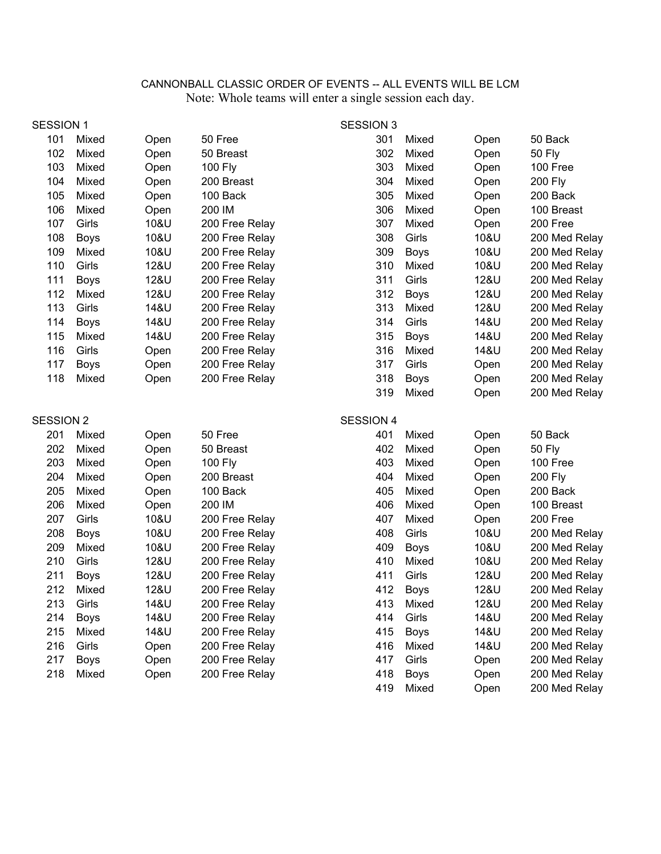# CANNONBALL CLASSIC ORDER OF EVENTS -- ALL EVENTS WILL BE LCM Note: Whole teams will enter a single session each day.

| <b>SESSION 1</b> |             |      |                | <b>SESSION 3</b> |             |      |                |
|------------------|-------------|------|----------------|------------------|-------------|------|----------------|
| 101              | Mixed       | Open | 50 Free        | 301              | Mixed       | Open | 50 Back        |
| 102              | Mixed       | Open | 50 Breast      | 302              | Mixed       | Open | <b>50 Fly</b>  |
| 103              | Mixed       | Open | 100 Fly        | 303              | Mixed       | Open | 100 Free       |
| 104              | Mixed       | Open | 200 Breast     | 304              | Mixed       | Open | 200 Fly        |
| 105              | Mixed       | Open | 100 Back       | 305              | Mixed       | Open | 200 Back       |
| 106              | Mixed       | Open | 200 IM         | 306              | Mixed       | Open | 100 Breast     |
| 107              | Girls       | 10&U | 200 Free Relay | 307              | Mixed       | Open | 200 Free       |
| 108              | <b>Boys</b> | 10&U | 200 Free Relay | 308              | Girls       | 10&U | 200 Med Relay  |
| 109              | Mixed       | 10&U | 200 Free Relay | 309              | <b>Boys</b> | 10&U | 200 Med Relay  |
| 110              | Girls       | 12&U | 200 Free Relay | 310              | Mixed       | 10&U | 200 Med Relay  |
| 111              | <b>Boys</b> | 12&U | 200 Free Relay | 311              | Girls       | 12&U | 200 Med Relay  |
| 112              | Mixed       | 12&U | 200 Free Relay | 312              | <b>Boys</b> | 12&U | 200 Med Relay  |
| 113              | Girls       | 14&U | 200 Free Relay | 313              | Mixed       | 12&U | 200 Med Relay  |
| 114              | <b>Boys</b> | 14&U | 200 Free Relay | 314              | Girls       | 14&U | 200 Med Relay  |
| 115              | Mixed       | 14&U | 200 Free Relay | 315              | <b>Boys</b> | 14&U | 200 Med Relay  |
| 116              | Girls       | Open | 200 Free Relay | 316              | Mixed       | 14&U | 200 Med Relay  |
| 117              | <b>Boys</b> | Open | 200 Free Relay | 317              | Girls       | Open | 200 Med Relay  |
| 118              | Mixed       | Open | 200 Free Relay | 318              | Boys        | Open | 200 Med Relay  |
|                  |             |      |                | 319              | Mixed       | Open | 200 Med Relay  |
| <b>SESSION 2</b> |             |      |                | <b>SESSION 4</b> |             |      |                |
| 201              | Mixed       | Open | 50 Free        | 401              | Mixed       | Open | 50 Back        |
| 202              | Mixed       | Open | 50 Breast      | 402              | Mixed       | Open | <b>50 Fly</b>  |
| 203              | Mixed       | Open | <b>100 Fly</b> | 403              | Mixed       | Open | 100 Free       |
| 204              | Mixed       | Open | 200 Breast     | 404              | Mixed       | Open | <b>200 Fly</b> |
| 205              | Mixed       | Open | 100 Back       |                  |             |      |                |
| 206              |             |      |                | 405              | Mixed       | Open | 200 Back       |
| 207              | Mixed       | Open | 200 IM         | 406              | Mixed       | Open | 100 Breast     |
|                  | Girls       | 10&U | 200 Free Relay | 407              | Mixed       | Open | 200 Free       |
| 208              | <b>Boys</b> | 10&U | 200 Free Relay | 408              | Girls       | 10&U | 200 Med Relay  |
| 209              | Mixed       | 10&U | 200 Free Relay | 409              | <b>Boys</b> | 10&U | 200 Med Relay  |
| 210              | Girls       | 12&U | 200 Free Relay | 410              | Mixed       | 10&U | 200 Med Relay  |
| 211              | <b>Boys</b> | 12&U | 200 Free Relay | 411              | Girls       | 12&U | 200 Med Relay  |
| 212              | Mixed       | 12&U | 200 Free Relay | 412              | <b>Boys</b> | 12&U | 200 Med Relay  |
| 213              | Girls       | 14&U | 200 Free Relay |                  | 413 Mixed   | 12&U | 200 Med Relay  |
| 214              | <b>Boys</b> | 14&U | 200 Free Relay | 414              | Girls       | 14&U | 200 Med Relay  |
| 215              | Mixed       | 14&U | 200 Free Relay | 415              | <b>Boys</b> | 14&U | 200 Med Relay  |
| 216              | Girls       | Open | 200 Free Relay | 416              | Mixed       | 14&U | 200 Med Relay  |
| 217              | <b>Boys</b> | Open | 200 Free Relay | 417              | Girls       | Open | 200 Med Relay  |
| 218              | Mixed       | Open | 200 Free Relay | 418              | <b>Boys</b> | Open | 200 Med Relay  |